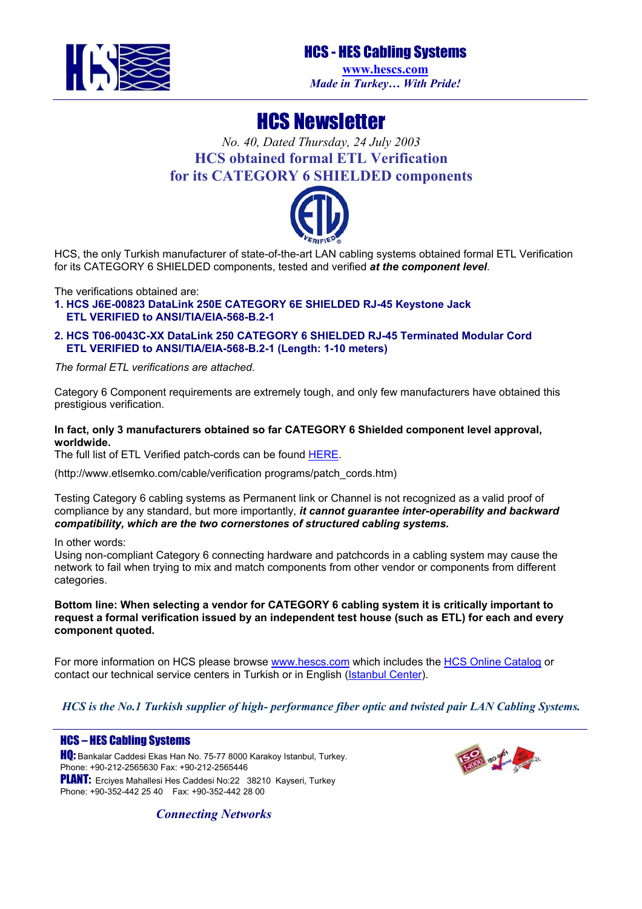

## HCS - HES Cabling Systems

**[www.hescs.com](http://www.hescs.com/)** *Made in Turkey… With Pride!*

# HCS Newsletter

## *No. 40, Dated Thursday, 24 July 2003* **HCS obtained formal ETL Verification for its CATEGORY 6 SHIELDED components**



HCS, the only Turkish manufacturer of state-of-the-art LAN cabling systems obtained formal ETL Verification for its CATEGORY 6 SHIELDED components, tested and verified *at the component level*.

The verifications obtained are:

**1. HCS J6E-00823 DataLink 250E CATEGORY 6E SHIELDED RJ-45 Keystone Jack ETL VERIFIED to ANSI/TIA/EIA-568-B.2-1** 

**2. HCS T06-0043C-XX DataLink 250 CATEGORY 6 SHIELDED RJ-45 Terminated Modular Cord ETL VERIFIED to ANSI/TIA/EIA-568-B.2-1 (Length: 1-10 meters)** 

*The formal ETL verifications are attached.* 

Category 6 Component requirements are extremely tough, and only few manufacturers have obtained this prestigious verification.

**In fact, only 3 manufacturers obtained so far CATEGORY 6 Shielded component level approval, worldwide.** 

The full list of ETL Verified patch-cords can be found [HERE.](http://www.etlsemko.com/cable/verification%20programs/patch_cords.htm)

([http://www.etlsemko.com/cable/verification](http://www.etlsemko.com/cable/verification%20programs/patch_cords.htm) programs/patch\_cords.htm)

Testing Category 6 cabling systems as Permanent link or Channel is not recognized as a valid proof of compliance by any standard, but more importantly, *it cannot guarantee inter-operability and backward compatibility, which are the two cornerstones of structured cabling systems.* 

In other words:

Using non-compliant Category 6 connecting hardware and patchcords in a cabling system may cause the network to fail when trying to mix and match components from other vendor or components from different categories.

**Bottom line: When selecting a vendor for CATEGORY 6 cabling system it is critically important to request a formal verification issued by an independent test house (such as ETL) for each and every component quoted.** 

For more information on HCS please browse [www.hescs.com](http://www.hescs.com/) which includes the [HCS Online Catalog](http://www.hescs.com/catalog/index.asp) or contact our technical service centers in Turkish or in English ([Istanbul Center\)](mailto:info@hescs.com).

*HCS is the No.1 Turkish supplier of high- performance fiber optic and twisted pair LAN Cabling Systems.* 

#### HCS – HES Cabling Systems

**HQ:** Bankalar Caddesi Ekas Han No. 75-77 8000 Karakoy Istanbul, Turkey. Phone: +90-212-2565630 Fax: +90-212-2565446 PLANT: Erciyes Mahallesi Hes Caddesi No:22 38210 Kayseri, Turkey Phone: +90-352-442 25 40 Fax: +90-352-442 28 00



*Connecting Networks*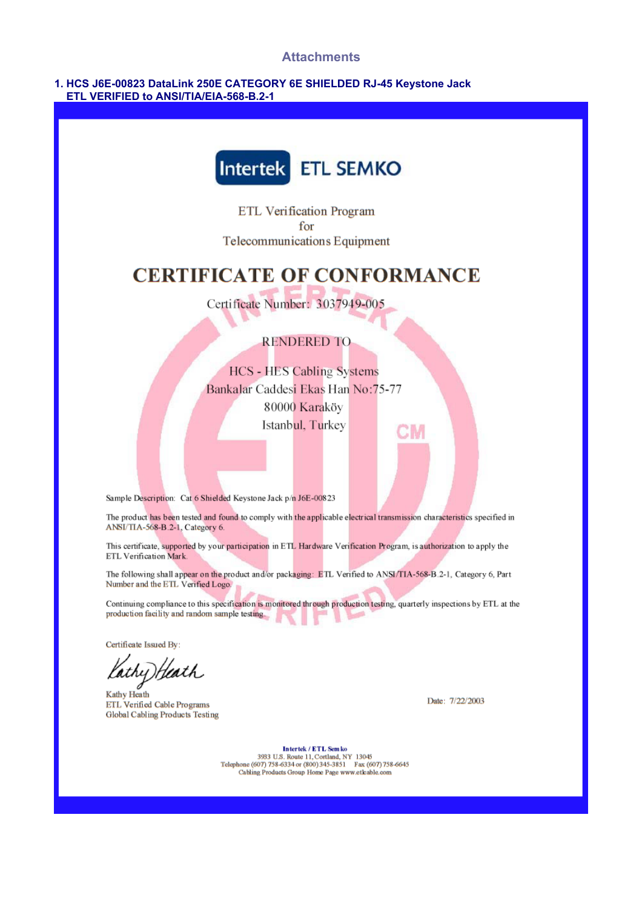#### **Attachments**

#### 1. HCS J6E-00823 DataLink 250E CATEGORY 6E SHIELDED RJ-45 Keystone Jack ETL VERIFIED to ANSI/TIA/EIA-568-B.2-1



ETL Verification Program for Telecommunications Equipment

# **CERTIFICATE OF CONFORMANCE**

Certificate Number: 3037949-005

### **RENDERED TO**

**HCS - HES Cabling Systems** Bankalar Caddesi Ekas Han No:75-77 80000 Karaköy Istanbul, Turkey

Sample Description: Cat 6 Shielded Keystone Jack p/n J6E-00823

The product has been tested and found to comply with the applicable electrical transmission characteristics specified in ANSI/TIA-568-B.2-1, Category 6.

This certificate, supported by your participation in ETL Hardware Verification Program, is authorization to apply the ETL Verification Mark

The following shall appear on the product and/or packaging: ETL Verified to ANSI/TIA-568-B.2-1, Category 6, Part Number and the ETL Verified Logo.

Continuing compliance to this specification is monitored through production testing, quarterly inspections by ETL at the production facility and random sample testing.

Certificate Issued By:

lathy)Heath

Kathy Heath ETL Verified Cable Programs Global Cabling Products Testing

Date: 7/22/2003

Intertek / ETL Sem ko 3933 U.S. Route 11, Cortland, NY 13045<br>Telephone (607) 758-6334 or (800) 345-3851 Fax (607) 758-6645<br>Cabling Products Group Home Page www.etkable.com